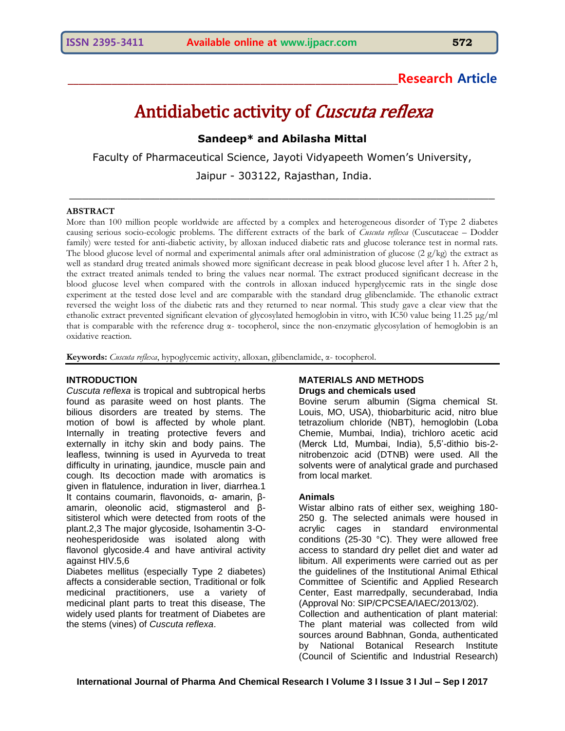# **\_\_\_\_\_\_\_\_\_\_\_\_\_\_\_\_\_\_\_\_\_\_\_\_\_\_\_\_\_\_\_\_\_\_\_\_\_\_\_\_\_\_\_\_\_\_\_\_\_\_\_\_\_\_\_\_\_\_\_\_Research Article**

# Antidiabetic activity of Cuscuta reflexa

# **Sandeep\* and Abilasha Mittal**

Faculty of Pharmaceutical Science, Jayoti Vidyapeeth Women's University,

Jaipur - 303122, Rajasthan, India.  $\_$  , and the set of the set of the set of the set of the set of the set of the set of the set of the set of the set of the set of the set of the set of the set of the set of the set of the set of the set of the set of th

#### **ABSTRACT**

More than 100 million people worldwide are affected by a complex and heterogeneous disorder of Type 2 diabetes causing serious socio-ecologic problems. The different extracts of the bark of *Cuscuta reflexa* (Cuscutaceae – Dodder family) were tested for anti-diabetic activity, by alloxan induced diabetic rats and glucose tolerance test in normal rats. The blood glucose level of normal and experimental animals after oral administration of glucose  $(2 g/kg)$  the extract as well as standard drug treated animals showed more significant decrease in peak blood glucose level after 1 h. After 2 h, the extract treated animals tended to bring the values near normal. The extract produced significant decrease in the blood glucose level when compared with the controls in alloxan induced hyperglycemic rats in the single dose experiment at the tested dose level and are comparable with the standard drug glibenclamide. The ethanolic extract reversed the weight loss of the diabetic rats and they returned to near normal. This study gave a clear view that the ethanolic extract prevented significant elevation of glycosylated hemoglobin in vitro, with IC50 value being 11.25 μg/ml that is comparable with the reference drug α- tocopherol, since the non-enzymatic glycosylation of hemoglobin is an oxidative reaction.

**Keywords:** *Cuscuta reflexa*, hypoglycemic activity, alloxan, glibenclamide, α- tocopherol.

#### **INTRODUCTION**

*Cuscuta reflexa* is tropical and subtropical herbs found as parasite weed on host plants. The bilious disorders are treated by stems. The motion of bowl is affected by whole plant. Internally in treating protective fevers and externally in itchy skin and body pains. The leafless, twinning is used in Ayurveda to treat difficulty in urinating, jaundice, muscle pain and cough. Its decoction made with aromatics is given in flatulence, induration in liver, diarrhea.1 It contains coumarin, flavonoids, α- amarin, βamarin, oleonolic acid, stigmasterol and βsitisterol which were detected from roots of the plant.2,3 The major glycoside, Isohamentin 3-Oneohesperidoside was isolated along with flavonol glycoside.4 and have antiviral activity against HIV.5,6

Diabetes mellitus (especially Type 2 diabetes) affects a considerable section, Traditional or folk medicinal practitioners, use a variety of medicinal plant parts to treat this disease, The widely used plants for treatment of Diabetes are the stems (vines) of *Cuscuta reflexa*.

#### **MATERIALS AND METHODS Drugs and chemicals used**

Bovine serum albumin (Sigma chemical St. Louis, MO, USA), thiobarbituric acid, nitro blue tetrazolium chloride (NBT), hemoglobin (Loba Chemie, Mumbai, India), trichloro acetic acid (Merck Ltd, Mumbai, India), 5,5'-dithio bis-2 nitrobenzoic acid (DTNB) were used. All the solvents were of analytical grade and purchased from local market.

#### **Animals**

Wistar albino rats of either sex, weighing 180- 250 g. The selected animals were housed in acrylic cages in standard environmental conditions (25-30 °C). They were allowed free access to standard dry pellet diet and water ad libitum. All experiments were carried out as per the guidelines of the Institutional Animal Ethical Committee of Scientific and Applied Research Center, East marredpally, secunderabad, India (Approval No: SIP/CPCSEA/IAEC/2013/02). Collection and authentication of plant material:

The plant material was collected from wild sources around Babhnan, Gonda, authenticated by National Botanical Research Institute (Council of Scientific and Industrial Research)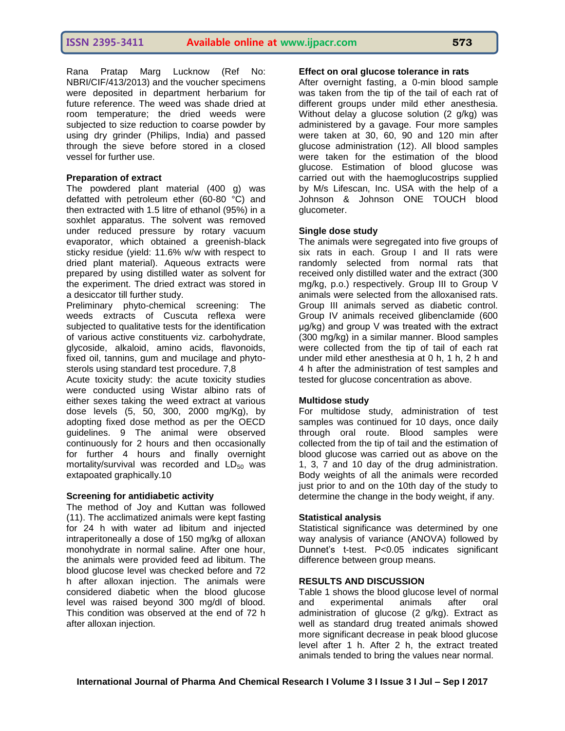Rana Pratap Marg Lucknow (Ref No: NBRI/CIF/413/2013) and the voucher specimens were deposited in department herbarium for future reference. The weed was shade dried at room temperature; the dried weeds were subjected to size reduction to coarse powder by using dry grinder (Philips, India) and passed through the sieve before stored in a closed vessel for further use.

## **Preparation of extract**

The powdered plant material (400 g) was defatted with petroleum ether (60-80 °C) and then extracted with 1.5 litre of ethanol (95%) in a soxhlet apparatus. The solvent was removed under reduced pressure by rotary vacuum evaporator, which obtained a greenish-black sticky residue (yield: 11.6% w/w with respect to dried plant material). Aqueous extracts were prepared by using distilled water as solvent for the experiment. The dried extract was stored in a desiccator till further study.

Preliminary phyto-chemical screening: The weeds extracts of Cuscuta reflexa were subjected to qualitative tests for the identification of various active constituents viz. carbohydrate, glycoside, alkaloid, amino acids, flavonoids, fixed oil, tannins, gum and mucilage and phytosterols using standard test procedure. 7,8

Acute toxicity study: the acute toxicity studies were conducted using Wistar albino rats of either sexes taking the weed extract at various dose levels (5, 50, 300, 2000 mg/Kg), by adopting fixed dose method as per the OECD guidelines. 9 The animal were observed continuously for 2 hours and then occasionally for further 4 hours and finally overnight mortality/survival was recorded and  $LD_{50}$  was extapoated graphically.10

#### **Screening for antidiabetic activity**

The method of Joy and Kuttan was followed (11). The acclimatized animals were kept fasting for 24 h with water ad libitum and injected intraperitoneally a dose of 150 mg/kg of alloxan monohydrate in normal saline. After one hour, the animals were provided feed ad libitum. The blood glucose level was checked before and 72 h after alloxan injection. The animals were considered diabetic when the blood glucose level was raised beyond 300 mg/dl of blood. This condition was observed at the end of 72 h after alloxan injection.

#### **Effect on oral glucose tolerance in rats**

After overnight fasting, a 0-min blood sample was taken from the tip of the tail of each rat of different groups under mild ether anesthesia. Without delay a glucose solution (2 g/kg) was administered by a gavage. Four more samples were taken at 30, 60, 90 and 120 min after glucose administration (12). All blood samples were taken for the estimation of the blood glucose. Estimation of blood glucose was carried out with the haemoglucostrips supplied by M/s Lifescan, Inc. USA with the help of a Johnson & Johnson ONE TOUCH blood glucometer.

# **Single dose study**

The animals were segregated into five groups of six rats in each. Group I and II rats were randomly selected from normal rats that received only distilled water and the extract (300 mg/kg, p.o.) respectively. Group III to Group V animals were selected from the alloxanised rats. Group III animals served as diabetic control. Group IV animals received glibenclamide (600 μg/kg) and group V was treated with the extract (300 mg/kg) in a similar manner. Blood samples were collected from the tip of tail of each rat under mild ether anesthesia at 0 h, 1 h, 2 h and 4 h after the administration of test samples and tested for glucose concentration as above.

# **Multidose study**

For multidose study, administration of test samples was continued for 10 days, once daily through oral route. Blood samples were collected from the tip of tail and the estimation of blood glucose was carried out as above on the 1, 3, 7 and 10 day of the drug administration. Body weights of all the animals were recorded just prior to and on the 10th day of the study to determine the change in the body weight, if any.

# **Statistical analysis**

Statistical significance was determined by one way analysis of variance (ANOVA) followed by Dunnet's t-test. P<0.05 indicates significant difference between group means.

# **RESULTS AND DISCUSSION**

Table 1 shows the blood glucose level of normal and experimental animals after oral administration of glucose (2 g/kg). Extract as well as standard drug treated animals showed more significant decrease in peak blood glucose level after 1 h. After 2 h, the extract treated animals tended to bring the values near normal.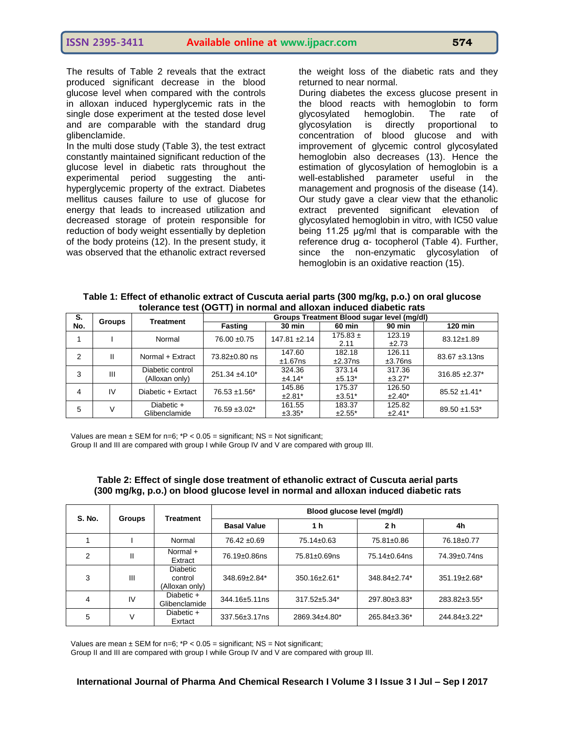The results of Table 2 reveals that the extract produced significant decrease in the blood glucose level when compared with the controls in alloxan induced hyperglycemic rats in the single dose experiment at the tested dose level and are comparable with the standard drug glibenclamide.

In the multi dose study (Table 3), the test extract constantly maintained significant reduction of the glucose level in diabetic rats throughout the experimental period suggesting the antihyperglycemic property of the extract. Diabetes mellitus causes failure to use of glucose for energy that leads to increased utilization and decreased storage of protein responsible for reduction of body weight essentially by depletion of the body proteins (12). In the present study, it was observed that the ethanolic extract reversed

the weight loss of the diabetic rats and they returned to near normal.

During diabetes the excess glucose present in the blood reacts with hemoglobin to form glycosylated hemoglobin. The rate of<br>glycosylation is directly proportional to glycosylation is directly proportional to concentration of blood glucose and with improvement of glycemic control glycosylated hemoglobin also decreases (13). Hence the estimation of glycosylation of hemoglobin is a well-established parameter useful in the management and prognosis of the disease (14). Our study gave a clear view that the ethanolic extract prevented significant elevation of glycosylated hemoglobin in vitro, with IC50 value being 11.25 μg/ml that is comparable with the reference drug α- tocopherol (Table 4). Further, since the non-enzymatic glycosylation of hemoglobin is an oxidative reaction (15).

| Table 1: Effect of ethanolic extract of Cuscuta aerial parts (300 mg/kg, p.o.) on oral glucose |  |  |  |  |
|------------------------------------------------------------------------------------------------|--|--|--|--|
| tolerance test (OGTT) in normal and alloxan induced diabetic rats                              |  |  |  |  |

| S.      | <b>Groups</b>      | <b>Treatment</b>    | Groups Treatment Blood sugar level (mg/dl) |                   |              |                               |                   |  |  |
|---------|--------------------|---------------------|--------------------------------------------|-------------------|--------------|-------------------------------|-------------------|--|--|
| No.     |                    |                     | <b>Fasting</b>                             | <b>30 min</b>     | 60 min       | <b>90 min</b>                 | <b>120 min</b>    |  |  |
|         |                    | Normal              | 76.00 ±0.75                                | $147.81 \pm 2.14$ | $175.83 \pm$ | 123.19                        | 83.12±1.89        |  |  |
|         |                    |                     |                                            |                   | 2.11         | ±2.73                         |                   |  |  |
| 2<br>Ш  |                    | Normal + Extract    | 73.82±0.80 ns                              | 147.60            | 182.18       | 126.11                        | $83.67 + 3.13$ ns |  |  |
|         |                    |                     |                                            | $±1.67$ ns        | ±2.37ns      | ±3.76ns                       |                   |  |  |
| 3<br>Ш  | Diabetic control   | $251.34 \pm 4.10^*$ | 324.36                                     | 373.14            | 317.36       | $316.85 \pm 2.37$ *           |                   |  |  |
|         |                    | (Alloxan only)      |                                            | $±4.14*$          | $±5.13*$     | $±3.27*$                      |                   |  |  |
| IV<br>4 | Diabetic + Exrtact |                     | 145.86                                     | 175.37            | 126.50       | $85.52 \pm 1.41$ <sup>*</sup> |                   |  |  |
|         |                    |                     | 76.53 ±1.56*                               | $±2.81*$          | $±3.51*$     | $±2.40*$                      |                   |  |  |
| 5       |                    | Diabetic +          | 76.59 ±3.02*                               | 161.55            | 183.37       | 125.82                        | $89.50 + 1.53$ *  |  |  |
|         |                    | Glibenclamide       |                                            | $±3.35*$          | $±2.55*$     | $±2.41*$                      |                   |  |  |

Values are mean  $\pm$  SEM for n=6;  $*P < 0.05$  = significant; NS = Not significant;

Group II and III are compared with group I while Group IV and V are compared with group III.

| <b>S. No.</b> | <b>Groups</b> | <b>Treatment</b>                             | Blood glucose level (mg/dl) |                     |                     |                     |  |  |  |
|---------------|---------------|----------------------------------------------|-----------------------------|---------------------|---------------------|---------------------|--|--|--|
|               |               |                                              | <b>Basal Value</b>          | 1 h                 | 2 <sub>h</sub>      | 4h                  |  |  |  |
|               |               | Normal                                       | 76.42 ±0.69                 | 75.14±0.63          | 75.81±0.86          | 76.18±0.77          |  |  |  |
| 2             |               | Normal +<br>Extract                          | 76.19±0.86ns                | $75.81 \pm 0.69$ ns | $75.14 \pm 0.64$ ns | 74.39±0.74ns        |  |  |  |
| 3             | Ш             | <b>Diabetic</b><br>control<br>(Alloxan only) | 348.69±2.84*                | $350.16 \pm 2.61^*$ | 348.84±2.74*        | $351.19 \pm 2.68^*$ |  |  |  |
| 4             | IV            | Diabetic +<br>Glibenclamide                  | $344.16 \pm 5.11$ ns        | 317.52±5.34*        | 297.80±3.83*        | 283.82±3.55*        |  |  |  |
| 5             |               | Diabetic +<br>Exrtact                        | 337.56±3.17ns               | 2869.34±4.80*       | 265.84±3.36*        | 244.84±3.22*        |  |  |  |

#### **Table 2: Effect of single dose treatment of ethanolic extract of Cuscuta aerial parts (300 mg/kg, p.o.) on blood glucose level in normal and alloxan induced diabetic rats**

Values are mean  $\pm$  SEM for n=6;  $*P < 0.05$  = significant; NS = Not significant;

Group II and III are compared with group I while Group IV and V are compared with group III.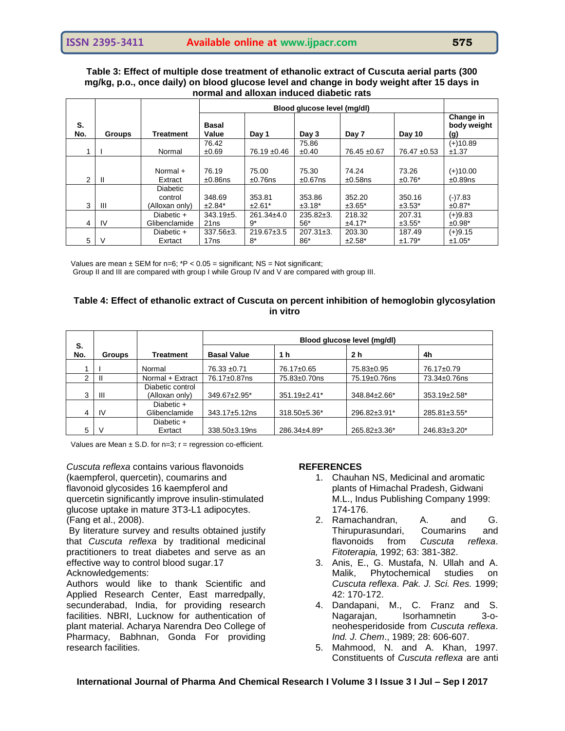## **Table 3: Effect of multiple dose treatment of ethanolic extract of Cuscuta aerial parts (300 mg/kg, p.o., once daily) on blood glucose level and change in body weight after 15 days in normal and alloxan induced diabetic rats**

|           |               |                            | Blood glucose level (mg/dl) |                  |                 |             |             |                                 |
|-----------|---------------|----------------------------|-----------------------------|------------------|-----------------|-------------|-------------|---------------------------------|
| S.<br>No. | <b>Groups</b> | <b>Treatment</b>           | <b>Basal</b><br>Value       | Day 1            | Day 3           | Day 7       | Day 10      | Change in<br>body weight<br>(g) |
|           |               |                            | 76.42                       |                  | 75.86           |             |             | $(+)10.89$                      |
|           |               | Normal                     | ±0.69                       | 76.19 ±0.46      | ±0.40           | 76.45 ±0.67 | 76.47 ±0.53 | ±1.37                           |
|           |               |                            |                             |                  |                 |             |             |                                 |
|           |               | Normal +                   | 76.19                       | 75.00            | 75.30           | 74.24       | 73.26       | $(+)10.00$                      |
| 2         | H             | Extract                    | $±0.86$ ns                  | $±0.76$ ns       | $±0.67$ ns      | $±0.58$ ns  | $±0.76*$    | ±0.89ns                         |
|           |               | <b>Diabetic</b><br>control | 348.69                      | 353.81           | 353.86          | 352.20      | 350.16      | $(-)7.83$                       |
| 3         | Ш             | (Alloxan only)             | $±2.84*$                    | $±2.61*$         | $±3.18*$        | $±3.65*$    | $±3.53*$    | $±0.87*$                        |
|           |               | Diabetic $+$               | $343.19+5.$                 | $261.34 \pm 4.0$ | $235.82 \pm 3.$ | 218.32      | 207.31      | $(+)9.83$                       |
| 4         | IV            | Glibenclamide              | 21 <sub>ns</sub>            | 9*               | 56*             | $±4.17*$    | $±3.55*$    | $±0.98*$                        |
|           |               | Diabetic +                 | $337.56 \pm 3.$             | 219.67±3.5       | $207.31 \pm 3.$ | 203.30      | 187.49      | $(+)9.15$                       |
| 5         | ν             | Exrtact                    | 17 <sub>ns</sub>            | $8*$             | $86*$           | $±2.58*$    | $±1.79*$    | $±1.05*$                        |

Values are mean  $\pm$  SEM for n=6; \*P < 0.05 = significant; NS = Not significant;

Group II and III are compared with group I while Group IV and V are compared with group III.

## **Table 4: Effect of ethanolic extract of Cuscuta on percent inhibition of hemoglobin glycosylation in vitro**

|           |               |                                    | Blood glucose level (mg/dl) |              |                |              |  |  |
|-----------|---------------|------------------------------------|-----------------------------|--------------|----------------|--------------|--|--|
| S.<br>No. | <b>Groups</b> | Treatment                          | <b>Basal Value</b>          | 1 h          | 2 <sub>h</sub> | 4h           |  |  |
|           |               | Normal                             | 76.33 ±0.71                 | 76.17±0.65   | 75.83±0.95     | 76.17±0.79   |  |  |
| ⌒         | Ш             | Normal + Extract                   | 76.17±0.87ns                | 75.83±0.70ns | 75.19±0.76ns   | 73.34±0.76ns |  |  |
| 3         | Ш             | Diabetic control<br>(Alloxan only) | 349.67±2.95*                | 351.19±2.41* | 348.84±2.66*   | 353.19±2.58* |  |  |
| 4         | <b>IV</b>     | Diabetic +<br>Glibenclamide        | 343.17±5.12ns               | 318.50±5.36* | 296.82±3.91*   | 285.81±3.55* |  |  |
| 5         | V             | Diabetic +<br>Exrtact              | 338.50±3.19ns               | 286.34±4.89* | 265.82±3.36*   | 246.83±3.20* |  |  |

Values are Mean  $\pm$  S.D. for n=3; r = regression co-efficient.

*Cuscuta reflexa* contains various flavonoids (kaempferol, quercetin), coumarins and flavonoid glycosides 16 kaempferol and quercetin significantly improve insulin-stimulated glucose uptake in mature 3T3-L1 adipocytes. (Fang et al., 2008).

By literature survey and results obtained justify that *Cuscuta reflexa* by traditional medicinal practitioners to treat diabetes and serve as an effective way to control blood sugar.17 Acknowledgements:

Authors would like to thank Scientific and Applied Research Center, East marredpally, secunderabad, India, for providing research facilities. NBRI, Lucknow for authentication of plant material. Acharya Narendra Deo College of Pharmacy, Babhnan, Gonda For providing research facilities.

#### **REFERENCES**

- 1. Chauhan NS, Medicinal and aromatic plants of Himachal Pradesh, Gidwani M.L., Indus Publishing Company 1999: 174-176.
- 2. Ramachandran, A. and G. Thirupurasundari, Coumarins and flavonoids from *Cuscuta reflexa*. *Fitoterapia,* 1992; 63: 381-382.
- 3. Anis, E., G. Mustafa, N. Ullah and A. Malik, Phytochemical studies on *Cuscuta reflexa*. *Pak. J. Sci. Res.* 1999; 42: 170-172.
- 4. Dandapani, M., C. Franz and S. Nagarajan, Isorhamnetin 3-oneohesperidoside from *Cuscuta reflexa*. *Ind. J. Chem*., 1989; 28: 606-607.
- 5. Mahmood, N. and A. Khan, 1997. Constituents of *Cuscuta reflexa* are anti